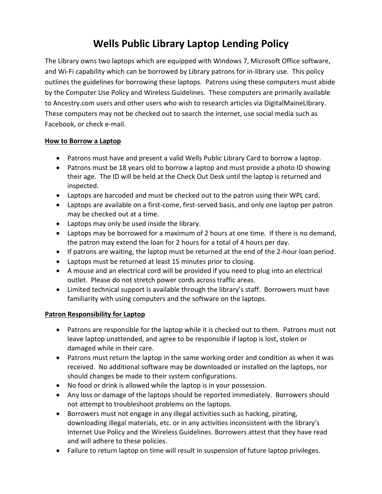# **Wells Public Library Laptop Lending Policy**

The Library owns two laptops which are equipped with Windows 7, Microsoft Office software, and Wi-Fi capability which can be borrowed by Library patrons for in-library use. This policy outlines the guidelines for borrowing these laptops. Patrons using these computers must abide by the Computer Use Policy and Wireless Guidelines. These computers are primarily available to Ancestry.com users and other users who wish to research articles via DigitalMaineLIbrary. These computers may not be checked out to search the internet, use social media such as Facebook, or check e-mail.

## **How to Borrow a Laptop**

- Patrons must have and present a valid Wells Public Library Card to borrow a laptop.
- Patrons must be 18 years old to borrow a laptop and must provide a photo ID showing their age. The ID will be held at the Check Out Desk until the laptop is returned and inspected.
- Laptops are barcoded and must be checked out to the patron using their WPL card.
- Laptops are available on a first-come, first-served basis, and only one laptop per patron may be checked out at a time.
- Laptops may only be used inside the library.
- Laptops may be borrowed for a maximum of 2 hours at one time. If there is no demand, the patron may extend the loan for 2 hours for a total of 4 hours per day.
- If patrons are waiting, the laptop must be returned at the end of the 2-hour loan period.
- Laptops must be returned at least 15 minutes prior to closing.
- A mouse and an electrical cord will be provided if you need to plug into an electrical outlet. Please do not stretch power cords across traffic areas.
- Limited technical support is available through the library's staff. Borrowers must have familiarity with using computers and the software on the laptops.

# **Patron Responsibility for Laptop**

- Patrons are responsible for the laptop while it is checked out to them. Patrons must not leave laptop unattended, and agree to be responsible if laptop is lost, stolen or damaged while in their care.
- Patrons must return the laptop in the same working order and condition as when it was received. No additional software may be downloaded or installed on the laptops, nor should changes be made to their system configurations.
- No food or drink is allowed while the laptop is in your possession.
- Any loss or damage of the laptops should be reported immediately. Borrowers should not attempt to troubleshoot problems on the laptops.
- Borrowers must not engage in any illegal activities such as hacking, pirating, downloading illegal materials, etc. or in any activities inconsistent with the library's Internet Use Policy and the Wireless Guidelines. Borrowers attest that they have read and will adhere to these policies.
- Failure to return laptop on time will result in suspension of future laptop privileges.